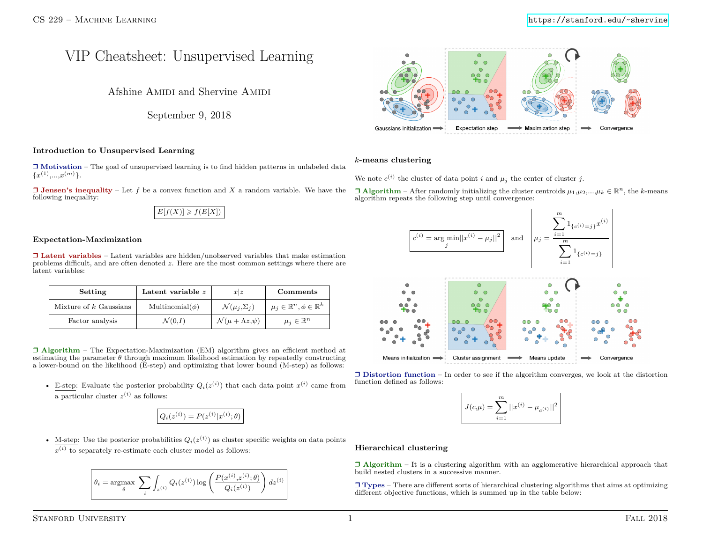# VIP Cheatsheet: Unsupervised Learning

Afshine AMIDI and Shervine AMIDI

September 9, 2018

# **Introduction to Unsupervised Learning**

❒ **Motivation** – The goal of unsupervised learning is to find hidden patterns in unlabeled data  ${x^{(1)},...,x^{(m)}}.$ 

❒ **Jensen's inequality** – Let *f* be a convex function and *X* a random variable. We have the following inequality:

| $E[f(X)] \geq f(E[X])$ |  |
|------------------------|--|
|------------------------|--|

# **Expectation-Maximization**

❒ **Latent variables** – Latent variables are hidden/unobserved variables that make estimation problems difficult, and are often denoted *z*. Here are the most common settings where there are latent variables:

| Setting                  | Latent variable $z$   | x z                                  | Comments                                    |
|--------------------------|-----------------------|--------------------------------------|---------------------------------------------|
| Mixture of $k$ Gaussians | Multinomial( $\phi$ ) | $\mathcal{N}(\mu_i, \Sigma_i)$       | $\mu_j\in\mathbb{R}^n, \phi\in\mathbb{R}^k$ |
| Factor analysis          | $\mathcal{N}(0,I)$    | $\mathcal{N}(\mu + \Lambda z, \psi)$ | $\mu_i \in \mathbb{R}^n$                    |

❒ **Algorithm** – The Expectation-Maximization (EM) algorithm gives an efficient method at estimating the parameter  $\theta$  through maximum likelihood estimation by repeatedly constructing a lower-bound on the likelihood (E-step) and optimizing that lower bound (M-step) as follows:

• E-step: Evaluate the posterior probability  $Q_i(z^{(i)})$  that each data point  $x^{(i)}$  came from a particular cluster  $z^{(i)}$  as follows:

$$
Q_i(z^{(i)}) = P(z^{(i)}|x^{(i)};\theta)
$$

• M-step: Use the posterior probabilities  $Q_i(z^{(i)})$  as cluster specific weights on data points  $x^{(i)}$  to separately re-estimate each cluster model as follows:

$$
\theta_i = \underset{\theta}{\text{argmax}} \sum_i \int_{z^{(i)}} Q_i(z^{(i)}) \log \left( \frac{P(x^{(i)}, z^{(i)}; \theta)}{Q_i(z^{(i)})} \right) dz^{(i)} \right)
$$



# *k***-means clustering**

We note  $c^{(i)}$  the cluster of data point *i* and  $\mu_j$  the center of cluster *j*.

 $\Box$  **Algorithm** – After randomly initializing the cluster centroids  $\mu_1, \mu_2, ..., \mu_k \in \mathbb{R}^n$ , the *k*-means algorithm repeats the following step until convergence:



❒ **Distortion function** – In order to see if the algorithm converges, we look at the distortion function defined as follows:

$$
J(c,\mu) = \sum_{i=1}^{m} ||x^{(i)} - \mu_{c^{(i)}}||^2
$$

#### **Hierarchical clustering**

❒ **Algorithm** – It is a clustering algorithm with an agglomerative hierarchical approach that build nested clusters in a successive manner.

❒ **Types** – There are different sorts of hierarchical clustering algorithms that aims at optimizing different objective functions, which is summed up in the table below: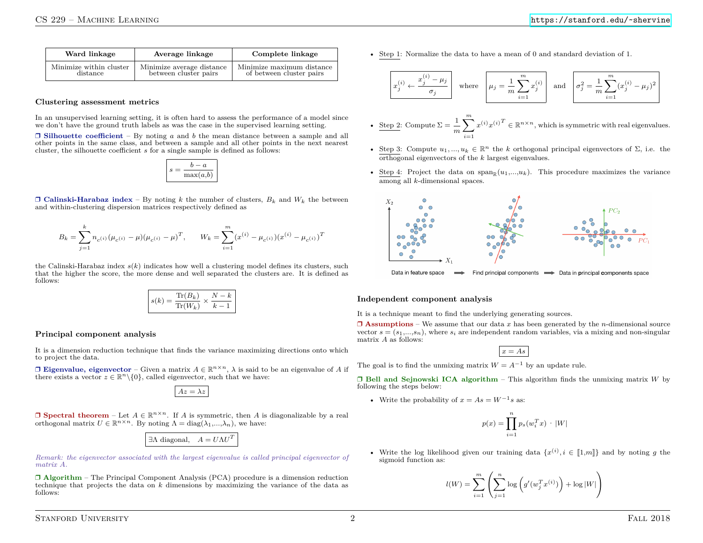| Ward linkage            | Average linkage           | Complete linkage          |
|-------------------------|---------------------------|---------------------------|
| Minimize within cluster | Minimize average distance | Minimize maximum distance |
| distance                | between cluster pairs     | of between cluster pairs  |

#### **Clustering assessment metrics**

In an unsupervised learning setting, it is often hard to assess the performance of a model since we don't have the ground truth labels as was the case in the supervised learning setting.

 $\Box$  **Silhouette coefficient** – By noting *a* and *b* the mean distance between a sample and all other points in the same class, and between a sample and all other points in the next nearest cluster, the silhouette coefficient *s* for a single sample is defined as follows:

$$
s = \frac{b - a}{\max(a, b)}
$$

 $\Box$  **Calinski-Harabaz index** – By noting *k* the number of clusters,  $B_k$  and  $W_k$  the between and within-clustering dispersion matrices respectively defined as

$$
B_k = \sum_{j=1}^k n_{c^{(i)}} (\mu_{c^{(i)}} - \mu)(\mu_{c^{(i)}} - \mu)^T, \qquad W_k = \sum_{i=1}^m (x^{(i)} - \mu_{c^{(i)}})(x^{(i)} - \mu_{c^{(i)}})^T
$$

the Calinski-Harabaz index  $s(k)$  indicates how well a clustering model defines its clusters, such that the higher the score, the more dense and well separated the clusters are. It is defined as follows:

$$
s(k) = \frac{\text{Tr}(B_k)}{\text{Tr}(W_k)} \times \frac{N-k}{k-1}
$$

#### **Principal component analysis**

It is a dimension reduction technique that finds the variance maximizing directions onto which to project the data.

 $\Box$  **Eigenvalue, eigenvector** – Given a matrix  $A \in \mathbb{R}^{n \times n}$ ,  $\lambda$  is said to be an eigenvalue of A if there exists a vector  $z \in \mathbb{R}^n \setminus \{0\}$ , called eigenvector, such that we have:

 $Az = \lambda z$ 

 $\Box$  **Spectral theorem** – Let  $A \in \mathbb{R}^{n \times n}$ . If *A* is symmetric, then *A* is diagonalizable by a real orthogonal matrix  $U \in \mathbb{R}^{n \times n}$ . By noting  $\Lambda = \text{diag}(\lambda_1, ..., \lambda_n)$ , we have:



*Remark: the eigenvector associated with the largest eigenvalue is called principal eigenvector of matrix A.*

❒ **Algorithm** – The Principal Component Analysis (PCA) procedure is a dimension reduction technique that projects the data on *k* dimensions by maximizing the variance of the data as follows:

• Step 1: Normalize the data to have a mean of 0 and standard deviation of 1.

$$
x_j^{(i)} \leftarrow \frac{x_j^{(i)} - \mu_j}{\sigma_j} \quad \text{where} \quad \mu_j = \frac{1}{m} \sum_{i=1}^m x_j^{(i)} \quad \text{and} \quad \sigma_j^2 = \frac{1}{m} \sum_{i=1}^m (x_j^{(i)} - \mu_j)^2
$$

- Step 2: Compute  $\Sigma = \frac{1}{n}$  $\frac{1}{m}\sum^m$ *i*=1  $x^{(i)}x^{(i)T} \in \mathbb{R}^{n \times n}$ , which is symmetric with real eigenvalues.
- Step 3: Compute  $u_1, ..., u_k \in \mathbb{R}^n$  the *k* orthogonal principal eigenvectors of  $\Sigma$ , i.e. the orthogonal eigenvectors of the *k* largest eigenvalues.
- Step 4: Project the data on span<sub>R</sub> $(u_1,...,u_k)$ . This procedure maximizes the variance among all *k*-dimensional spaces.



Data in feature space Find principal components  $\longrightarrow$  Data in principal components space

#### **Independent component analysis**

It is a technique meant to find the underlying generating sources.

 $\Box$  **Assumptions** – We assume that our data *x* has been generated by the *n*-dimensional source vector  $s = (s_1,...,s_n)$ , where  $s_i$  are independent random variables, via a mixing and non-singular matrix *A* as follows:

$$
x = As
$$

The goal is to find the unmixing matrix  $W = A^{-1}$  by an update rule.

❒ **Bell and Sejnowski ICA algorithm** – This algorithm finds the unmixing matrix *W* by following the steps below:

• Write the probability of  $x = As = W^{-1}s$  as:

$$
p(x) = \prod_{i=1}^{n} p_s(w_i^T x) \cdot |W|
$$

• Write the log likelihood given our training data  $\{x^{(i)}, i \in [1,m]\}$  and by noting *g* the sigmoid function as:

$$
l(W) = \sum_{i=1}^{m} \left( \sum_{j=1}^{n} \log \left( g'(w_j^T x^{(i)}) \right) + \log |W| \right)
$$